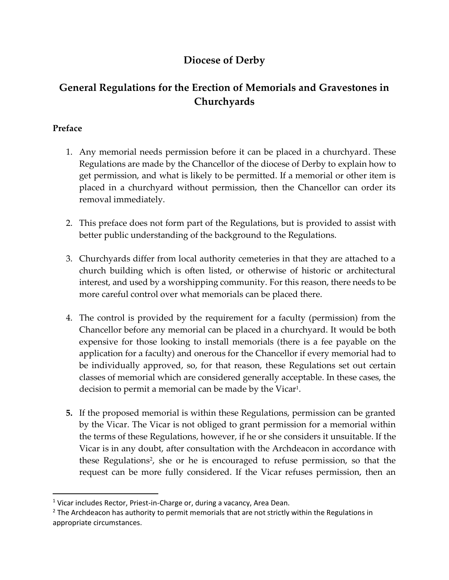# **Diocese of Derby**

# **General Regulations for the Erection of Memorials and Gravestones in Churchyards**

# **Preface**

- 1. Any memorial needs permission before it can be placed in a churchyard. These Regulations are made by the Chancellor of the diocese of Derby to explain how to get permission, and what is likely to be permitted. If a memorial or other item is placed in a churchyard without permission, then the Chancellor can order its removal immediately.
- 2. This preface does not form part of the Regulations, but is provided to assist with better public understanding of the background to the Regulations.
- 3. Churchyards differ from local authority cemeteries in that they are attached to a church building which is often listed, or otherwise of historic or architectural interest, and used by a worshipping community. For this reason, there needs to be more careful control over what memorials can be placed there.
- 4. The control is provided by the requirement for a faculty (permission) from the Chancellor before any memorial can be placed in a churchyard. It would be both expensive for those looking to install memorials (there is a fee payable on the application for a faculty) and onerous for the Chancellor if every memorial had to be individually approved, so, for that reason, these Regulations set out certain classes of memorial which are considered generally acceptable. In these cases, the decision to permit a memorial can be made by the Vicar $^{\rm 1}.$
- **5.** If the proposed memorial is within these Regulations, permission can be granted by the Vicar. The Vicar is not obliged to grant permission for a memorial within the terms of these Regulations, however, if he or she considers it unsuitable. If the Vicar is in any doubt, after consultation with the Archdeacon in accordance with these Regulations<sup>2</sup>, she or he is encouraged to refuse permission, so that the request can be more fully considered. If the Vicar refuses permission, then an

<sup>&</sup>lt;sup>1</sup> Vicar includes Rector, Priest-in-Charge or, during a vacancy, Area Dean.

 $<sup>2</sup>$  The Archdeacon has authority to permit memorials that are not strictly within the Regulations in</sup> appropriate circumstances.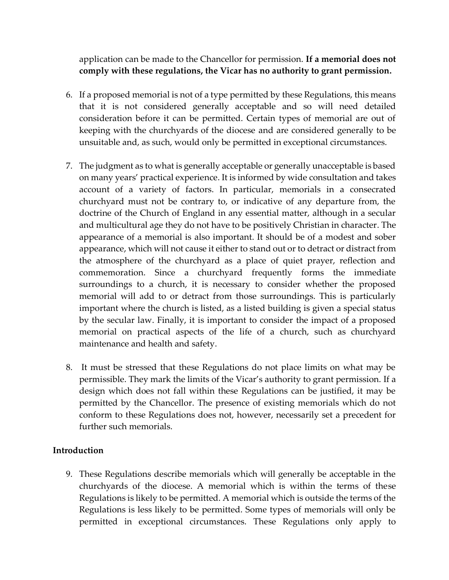application can be made to the Chancellor for permission. **If a memorial does not comply with these regulations, the Vicar has no authority to grant permission.** 

- 6. If a proposed memorial is not of a type permitted by these Regulations, this means that it is not considered generally acceptable and so will need detailed consideration before it can be permitted. Certain types of memorial are out of keeping with the churchyards of the diocese and are considered generally to be unsuitable and, as such, would only be permitted in exceptional circumstances.
- 7. The judgment as to what is generally acceptable or generally unacceptable is based on many years' practical experience. It is informed by wide consultation and takes account of a variety of factors. In particular, memorials in a consecrated churchyard must not be contrary to, or indicative of any departure from, the doctrine of the Church of England in any essential matter, although in a secular and multicultural age they do not have to be positively Christian in character. The appearance of a memorial is also important. It should be of a modest and sober appearance, which will not cause it either to stand out or to detract or distract from the atmosphere of the churchyard as a place of quiet prayer, reflection and commemoration. Since a churchyard frequently forms the immediate surroundings to a church, it is necessary to consider whether the proposed memorial will add to or detract from those surroundings. This is particularly important where the church is listed, as a listed building is given a special status by the secular law. Finally, it is important to consider the impact of a proposed memorial on practical aspects of the life of a church, such as churchyard maintenance and health and safety.
- 8. It must be stressed that these Regulations do not place limits on what may be permissible. They mark the limits of the Vicar's authority to grant permission. If a design which does not fall within these Regulations can be justified, it may be permitted by the Chancellor. The presence of existing memorials which do not conform to these Regulations does not, however, necessarily set a precedent for further such memorials.

#### **Introduction**

9. These Regulations describe memorials which will generally be acceptable in the churchyards of the diocese. A memorial which is within the terms of these Regulations is likely to be permitted. A memorial which is outside the terms of the Regulations is less likely to be permitted. Some types of memorials will only be permitted in exceptional circumstances. These Regulations only apply to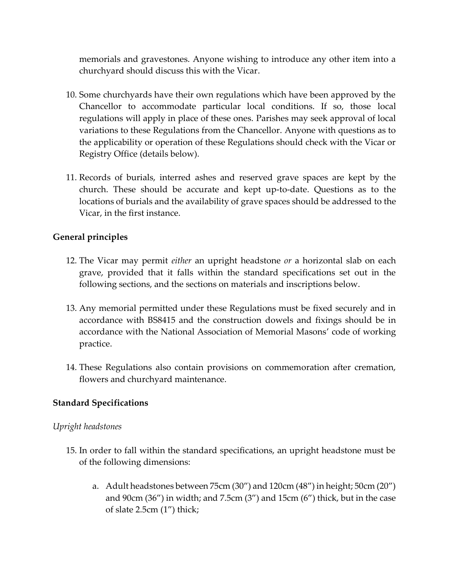memorials and gravestones. Anyone wishing to introduce any other item into a churchyard should discuss this with the Vicar.

- 10. Some churchyards have their own regulations which have been approved by the Chancellor to accommodate particular local conditions. If so, those local regulations will apply in place of these ones. Parishes may seek approval of local variations to these Regulations from the Chancellor. Anyone with questions as to the applicability or operation of these Regulations should check with the Vicar or Registry Office (details below).
- 11. Records of burials, interred ashes and reserved grave spaces are kept by the church. These should be accurate and kept up-to-date. Questions as to the locations of burials and the availability of grave spaces should be addressed to the Vicar, in the first instance.

### **General principles**

- 12. The Vicar may permit *either* an upright headstone *or* a horizontal slab on each grave, provided that it falls within the standard specifications set out in the following sections, and the sections on materials and inscriptions below.
- 13. Any memorial permitted under these Regulations must be fixed securely and in accordance with BS8415 and the construction dowels and fixings should be in accordance with the National Association of Memorial Masons' code of working practice.
- 14. These Regulations also contain provisions on commemoration after cremation, flowers and churchyard maintenance.

#### **Standard Specifications**

#### *Upright headstones*

- 15. In order to fall within the standard specifications, an upright headstone must be of the following dimensions:
	- a. Adult headstones between 75cm (30") and 120cm (48") in height; 50cm (20") and  $90cm$  (36") in width; and  $7.5cm$  (3") and  $15cm$  (6") thick, but in the case of slate 2.5cm (1") thick;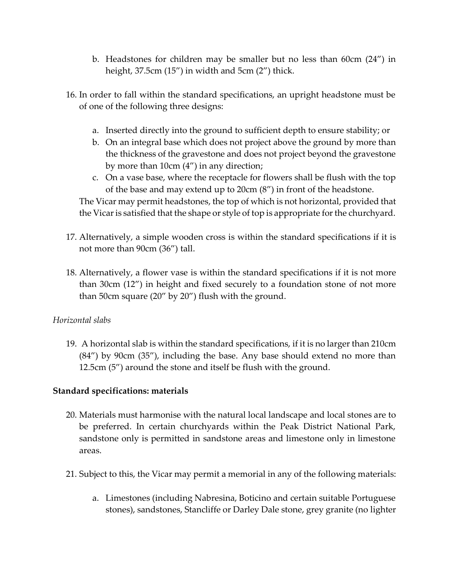- b. Headstones for children may be smaller but no less than 60cm (24") in height, 37.5cm (15") in width and 5cm (2") thick.
- 16. In order to fall within the standard specifications, an upright headstone must be of one of the following three designs:
	- a. Inserted directly into the ground to sufficient depth to ensure stability; or
	- b. On an integral base which does not project above the ground by more than the thickness of the gravestone and does not project beyond the gravestone by more than 10cm (4") in any direction;
	- c. On a vase base, where the receptacle for flowers shall be flush with the top of the base and may extend up to 20cm (8") in front of the headstone.

The Vicar may permit headstones, the top of which is not horizontal, provided that the Vicar is satisfied that the shape or style of top is appropriate for the churchyard.

- 17. Alternatively, a simple wooden cross is within the standard specifications if it is not more than 90cm (36") tall.
- 18. Alternatively, a flower vase is within the standard specifications if it is not more than 30cm (12") in height and fixed securely to a foundation stone of not more than 50cm square (20" by 20") flush with the ground.

#### *Horizontal slabs*

19. A horizontal slab is within the standard specifications, if it is no larger than 210cm (84") by 90cm (35"), including the base. Any base should extend no more than 12.5cm (5") around the stone and itself be flush with the ground.

## **Standard specifications: materials**

- 20. Materials must harmonise with the natural local landscape and local stones are to be preferred. In certain churchyards within the Peak District National Park, sandstone only is permitted in sandstone areas and limestone only in limestone areas.
- 21. Subject to this, the Vicar may permit a memorial in any of the following materials:
	- a. Limestones (including Nabresina, Boticino and certain suitable Portuguese stones), sandstones, Stancliffe or Darley Dale stone, grey granite (no lighter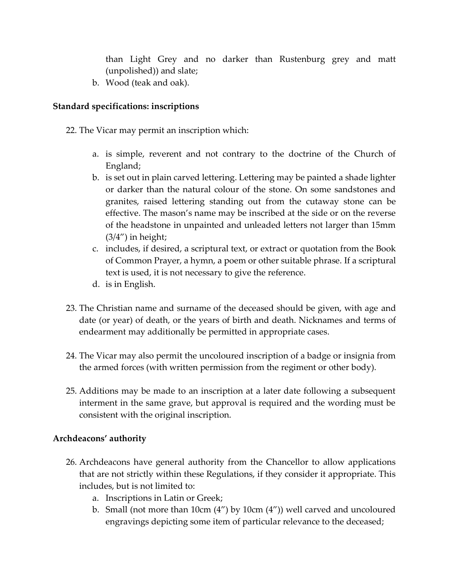than Light Grey and no darker than Rustenburg grey and matt (unpolished)) and slate;

b. Wood (teak and oak).

# **Standard specifications: inscriptions**

- 22. The Vicar may permit an inscription which:
	- a. is simple, reverent and not contrary to the doctrine of the Church of England;
	- b. is set out in plain carved lettering. Lettering may be painted a shade lighter or darker than the natural colour of the stone. On some sandstones and granites, raised lettering standing out from the cutaway stone can be effective. The mason's name may be inscribed at the side or on the reverse of the headstone in unpainted and unleaded letters not larger than 15mm  $(3/4'')$  in height;
	- c. includes, if desired, a scriptural text, or extract or quotation from the Book of Common Prayer, a hymn, a poem or other suitable phrase. If a scriptural text is used, it is not necessary to give the reference.
	- d. is in English.
- 23. The Christian name and surname of the deceased should be given, with age and date (or year) of death, or the years of birth and death. Nicknames and terms of endearment may additionally be permitted in appropriate cases.
- 24. The Vicar may also permit the uncoloured inscription of a badge or insignia from the armed forces (with written permission from the regiment or other body).
- 25. Additions may be made to an inscription at a later date following a subsequent interment in the same grave, but approval is required and the wording must be consistent with the original inscription.

## **Archdeacons' authority**

- 26. Archdeacons have general authority from the Chancellor to allow applications that are not strictly within these Regulations, if they consider it appropriate. This includes, but is not limited to:
	- a. Inscriptions in Latin or Greek;
	- b. Small (not more than 10cm (4") by 10cm (4")) well carved and uncoloured engravings depicting some item of particular relevance to the deceased;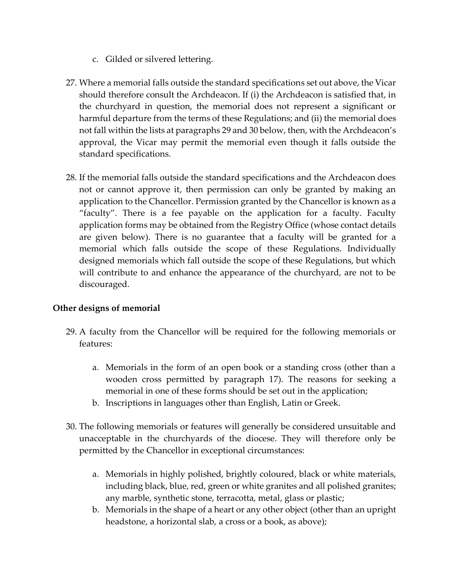- c. Gilded or silvered lettering.
- 27. Where a memorial falls outside the standard specifications set out above, the Vicar should therefore consult the Archdeacon. If (i) the Archdeacon is satisfied that, in the churchyard in question, the memorial does not represent a significant or harmful departure from the terms of these Regulations; and (ii) the memorial does not fall within the lists at paragraphs 29 and 30 below, then, with the Archdeacon's approval, the Vicar may permit the memorial even though it falls outside the standard specifications.
- 28. If the memorial falls outside the standard specifications and the Archdeacon does not or cannot approve it, then permission can only be granted by making an application to the Chancellor. Permission granted by the Chancellor is known as a "faculty". There is a fee payable on the application for a faculty. Faculty application forms may be obtained from the Registry Office (whose contact details are given below). There is no guarantee that a faculty will be granted for a memorial which falls outside the scope of these Regulations. Individually designed memorials which fall outside the scope of these Regulations, but which will contribute to and enhance the appearance of the churchyard, are not to be discouraged.

## **Other designs of memorial**

- 29. A faculty from the Chancellor will be required for the following memorials or features:
	- a. Memorials in the form of an open book or a standing cross (other than a wooden cross permitted by paragraph 17). The reasons for seeking a memorial in one of these forms should be set out in the application;
	- b. Inscriptions in languages other than English, Latin or Greek.
- 30. The following memorials or features will generally be considered unsuitable and unacceptable in the churchyards of the diocese. They will therefore only be permitted by the Chancellor in exceptional circumstances:
	- a. Memorials in highly polished, brightly coloured, black or white materials, including black, blue, red, green or white granites and all polished granites; any marble, synthetic stone, terracotta, metal, glass or plastic;
	- b. Memorials in the shape of a heart or any other object (other than an upright headstone, a horizontal slab, a cross or a book, as above);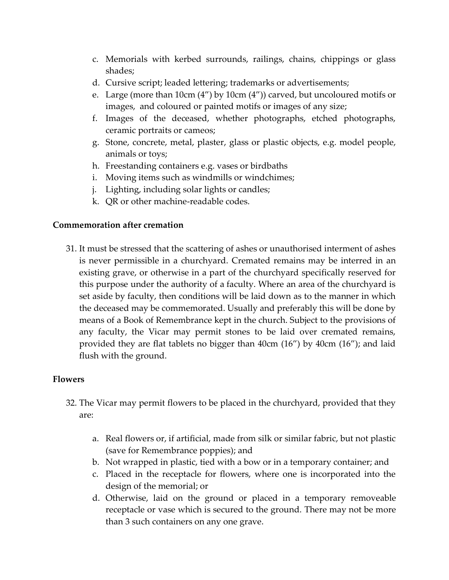- c. Memorials with kerbed surrounds, railings, chains, chippings or glass shades;
- d. Cursive script; leaded lettering; trademarks or advertisements;
- e. Large (more than 10cm (4") by 10cm (4")) carved, but uncoloured motifs or images, and coloured or painted motifs or images of any size;
- f. Images of the deceased, whether photographs, etched photographs, ceramic portraits or cameos;
- g. Stone, concrete, metal, plaster, glass or plastic objects, e.g. model people, animals or toys;
- h. Freestanding containers e.g. vases or birdbaths
- i. Moving items such as windmills or windchimes;
- j. Lighting, including solar lights or candles;
- k. QR or other machine-readable codes.

### **Commemoration after cremation**

31. It must be stressed that the scattering of ashes or unauthorised interment of ashes is never permissible in a churchyard. Cremated remains may be interred in an existing grave, or otherwise in a part of the churchyard specifically reserved for this purpose under the authority of a faculty. Where an area of the churchyard is set aside by faculty, then conditions will be laid down as to the manner in which the deceased may be commemorated. Usually and preferably this will be done by means of a Book of Remembrance kept in the church. Subject to the provisions of any faculty, the Vicar may permit stones to be laid over cremated remains, provided they are flat tablets no bigger than 40cm (16") by 40cm (16"); and laid flush with the ground.

## **Flowers**

- 32. The Vicar may permit flowers to be placed in the churchyard, provided that they are:
	- a. Real flowers or, if artificial, made from silk or similar fabric, but not plastic (save for Remembrance poppies); and
	- b. Not wrapped in plastic, tied with a bow or in a temporary container; and
	- c. Placed in the receptacle for flowers, where one is incorporated into the design of the memorial; or
	- d. Otherwise, laid on the ground or placed in a temporary removeable receptacle or vase which is secured to the ground. There may not be more than 3 such containers on any one grave.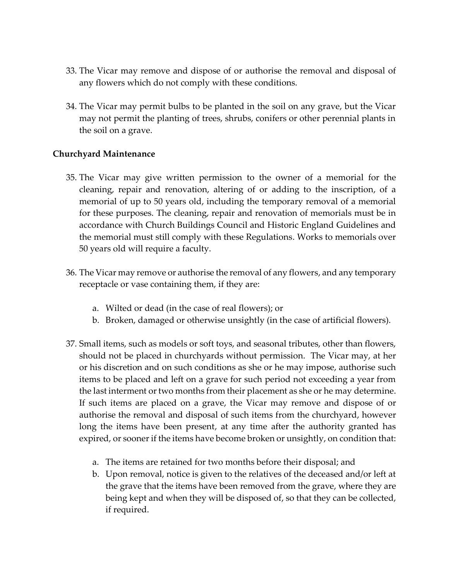- 33. The Vicar may remove and dispose of or authorise the removal and disposal of any flowers which do not comply with these conditions.
- 34. The Vicar may permit bulbs to be planted in the soil on any grave, but the Vicar may not permit the planting of trees, shrubs, conifers or other perennial plants in the soil on a grave.

### **Churchyard Maintenance**

- 35. The Vicar may give written permission to the owner of a memorial for the cleaning, repair and renovation, altering of or adding to the inscription, of a memorial of up to 50 years old, including the temporary removal of a memorial for these purposes. The cleaning, repair and renovation of memorials must be in accordance with Church Buildings Council and Historic England Guidelines and the memorial must still comply with these Regulations. Works to memorials over 50 years old will require a faculty.
- 36. The Vicar may remove or authorise the removal of any flowers, and any temporary receptacle or vase containing them, if they are:
	- a. Wilted or dead (in the case of real flowers); or
	- b. Broken, damaged or otherwise unsightly (in the case of artificial flowers).
- 37. Small items, such as models or soft toys, and seasonal tributes, other than flowers, should not be placed in churchyards without permission. The Vicar may, at her or his discretion and on such conditions as she or he may impose, authorise such items to be placed and left on a grave for such period not exceeding a year from the last interment or two months from their placement as she or he may determine. If such items are placed on a grave, the Vicar may remove and dispose of or authorise the removal and disposal of such items from the churchyard, however long the items have been present, at any time after the authority granted has expired, or sooner if the items have become broken or unsightly, on condition that:
	- a. The items are retained for two months before their disposal; and
	- b. Upon removal, notice is given to the relatives of the deceased and/or left at the grave that the items have been removed from the grave, where they are being kept and when they will be disposed of, so that they can be collected, if required.